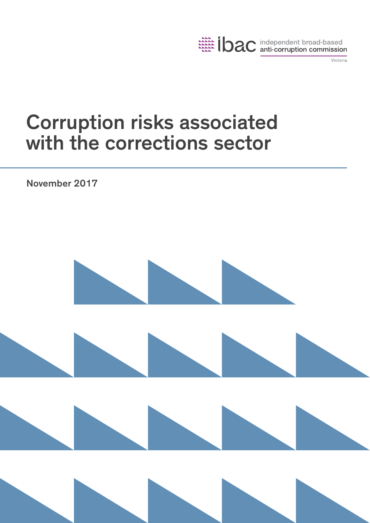

Victoria

# Corruption risks associated with the corrections sector

November 2017

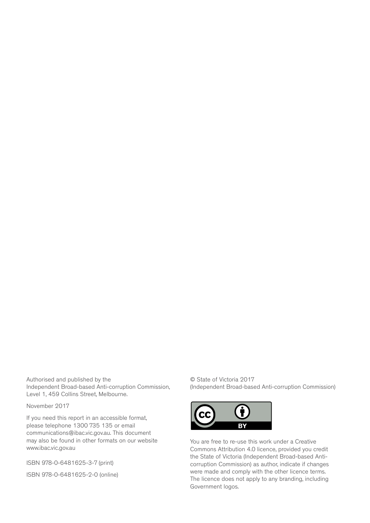Authorised and published by the Independent Broad-based Anti-corruption Commission, Level 1, 459 Collins Street, Melbourne.

November 2017

If you need this report in an accessible format, please telephone 1300 735 135 or email communications@ibac.vic.gov.au. This document may also be found in other formats on our website www.ibac.vic.gov.au

ISBN 978-0-6481625-3-7 (print)

ISBN 978-0-6481625-2-0 (online)

© State of Victoria 2017 (Independent Broad-based Anti-corruption Commission)



You are free to re-use this work under a Creative Commons Attribution 4.0 licence, provided you credit the State of Victoria (Independent Broad-based Anticorruption Commission) as author, indicate if changes were made and comply with the other licence terms. The licence does not apply to any branding, including Government logos.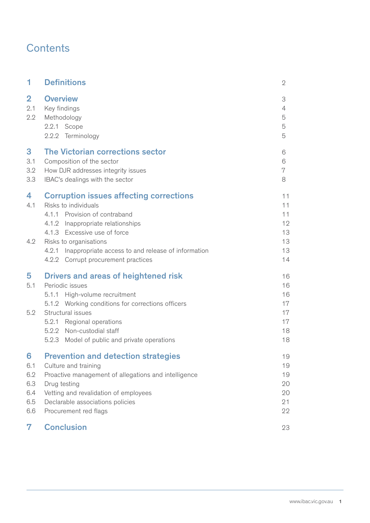# **Contents**

| 1                                           | <b>Definitions</b>                                                                                                                                                                                                                                                              | $\overline{2}$                               |
|---------------------------------------------|---------------------------------------------------------------------------------------------------------------------------------------------------------------------------------------------------------------------------------------------------------------------------------|----------------------------------------------|
| $\overline{\mathbf{2}}$<br>2.1<br>2.2       | <b>Overview</b><br>Key findings<br>Methodology<br>2.2.1 Scope<br>2.2.2 Terminology                                                                                                                                                                                              | 3<br>4<br>5<br>5<br>5                        |
| 3<br>3.1<br>3.2<br>3.3                      | The Victorian corrections sector<br>Composition of the sector<br>How DJR addresses integrity issues<br>IBAC's dealings with the sector                                                                                                                                          | 6<br>6<br>7<br>8                             |
| 4<br>4.1                                    | <b>Corruption issues affecting corrections</b><br>Risks to individuals<br>4.1.1 Provision of contraband<br>4.1.2 Inappropriate relationships<br>4.1.3 Excessive use of force                                                                                                    | 11<br>11<br>11<br>12<br>13                   |
| 4.2                                         | Risks to organisations<br>4.2.1 Inappropriate access to and release of information<br>4.2.2 Corrupt procurement practices                                                                                                                                                       | 13<br>13<br>14                               |
| 5<br>5.1<br>5.2                             | Drivers and areas of heightened risk<br>Periodic issues<br>High-volume recruitment<br>5.1.1<br>5.1.2 Working conditions for corrections officers<br>Structural issues<br>5.2.1 Regional operations<br>5.2.2 Non-custodial staff<br>5.2.3 Model of public and private operations | 16<br>16<br>16<br>17<br>17<br>17<br>18<br>18 |
| 6<br>6.1<br>6.2<br>6.3<br>6.4<br>6.5<br>6.6 | <b>Prevention and detection strategies</b><br>Culture and training<br>Proactive management of allegations and intelligence<br>Drug testing<br>Vetting and revalidation of employees<br>Declarable associations policies<br>Procurement red flags                                | 19<br>19<br>19<br>20<br>20<br>21<br>22       |
| 7                                           | <b>Conclusion</b>                                                                                                                                                                                                                                                               | 23                                           |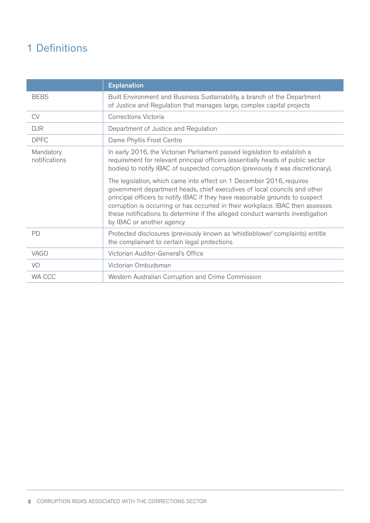# 1 Definitions

|                            | <b>Explanation</b>                                                                                                                                                                                                                                                                                                                                                                                                                 |
|----------------------------|------------------------------------------------------------------------------------------------------------------------------------------------------------------------------------------------------------------------------------------------------------------------------------------------------------------------------------------------------------------------------------------------------------------------------------|
| <b>BEBS</b>                | Built Environment and Business Sustainability, a branch of the Department<br>of Justice and Regulation that manages large, complex capital projects                                                                                                                                                                                                                                                                                |
| <b>CV</b>                  | Corrections Victoria                                                                                                                                                                                                                                                                                                                                                                                                               |
| <b>DJR</b>                 | Department of Justice and Regulation                                                                                                                                                                                                                                                                                                                                                                                               |
| <b>DPFC</b>                | Dame Phyllis Frost Centre                                                                                                                                                                                                                                                                                                                                                                                                          |
| Mandatory<br>notifications | In early 2016, the Victorian Parliament passed legislation to establish a<br>requirement for relevant principal officers (essentially heads of public sector<br>bodies) to notify IBAC of suspected corruption (previously it was discretionary).                                                                                                                                                                                  |
|                            | The legislation, which came into effect on 1 December 2016, requires<br>government department heads, chief executives of local councils and other<br>principal officers to notify IBAC if they have reasonable grounds to suspect<br>corruption is occurring or has occurred in their workplace. IBAC then assesses<br>these notifications to determine if the alleged conduct warrants investigation<br>by IBAC or another agency |
| PD                         | Protected disclosures (previously known as 'whistleblower' complaints) entitle<br>the complainant to certain legal protections                                                                                                                                                                                                                                                                                                     |
| VAGO                       | Victorian Auditor-General's Office                                                                                                                                                                                                                                                                                                                                                                                                 |
| VO                         | Victorian Ombudsman                                                                                                                                                                                                                                                                                                                                                                                                                |
| WA CCC                     | Western Australian Corruption and Crime Commission                                                                                                                                                                                                                                                                                                                                                                                 |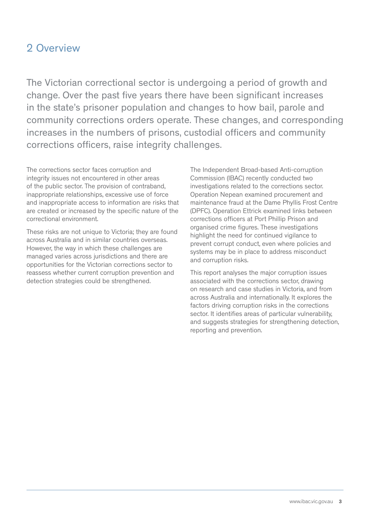# 2 Overview

The Victorian correctional sector is undergoing a period of growth and change. Over the past five years there have been significant increases in the state's prisoner population and changes to how bail, parole and community corrections orders operate. These changes, and corresponding increases in the numbers of prisons, custodial officers and community corrections officers, raise integrity challenges.

The corrections sector faces corruption and integrity issues not encountered in other areas of the public sector. The provision of contraband, inappropriate relationships, excessive use of force and inappropriate access to information are risks that are created or increased by the specific nature of the correctional environment.

These risks are not unique to Victoria; they are found across Australia and in similar countries overseas. However, the way in which these challenges are managed varies across jurisdictions and there are opportunities for the Victorian corrections sector to reassess whether current corruption prevention and detection strategies could be strengthened.

The Independent Broad-based Anti-corruption Commission (IBAC) recently conducted two investigations related to the corrections sector. Operation Nepean examined procurement and maintenance fraud at the Dame Phyllis Frost Centre (DPFC). Operation Ettrick examined links between corrections officers at Port Phillip Prison and organised crime figures. These investigations highlight the need for continued vigilance to prevent corrupt conduct, even where policies and systems may be in place to address misconduct and corruption risks.

This report analyses the major corruption issues associated with the corrections sector, drawing on research and case studies in Victoria, and from across Australia and internationally. It explores the factors driving corruption risks in the corrections sector. It identifies areas of particular vulnerability, and suggests strategies for strengthening detection, reporting and prevention.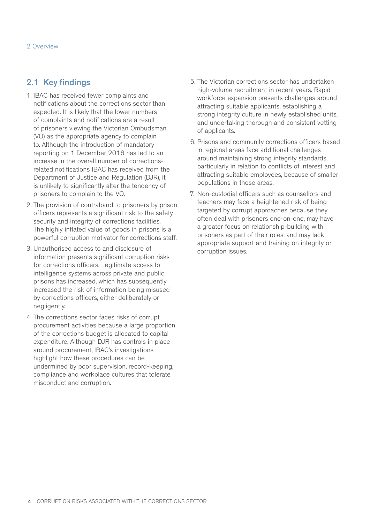# 2.1 Key findings

- 1. IBAC has received fewer complaints and notifications about the corrections sector than expected. It is likely that the lower numbers of complaints and notifications are a result of prisoners viewing the Victorian Ombudsman (VO) as the appropriate agency to complain to. Although the introduction of mandatory reporting on 1 December 2016 has led to an increase in the overall number of correctionsrelated notifications IBAC has received from the Department of Justice and Regulation (DJR), it is unlikely to significantly alter the tendency of prisoners to complain to the VO.
- 2. The provision of contraband to prisoners by prison officers represents a significant risk to the safety, security and integrity of corrections facilities. The highly inflated value of goods in prisons is a powerful corruption motivator for corrections staff.
- 3. Unauthorised access to and disclosure of information presents significant corruption risks for corrections officers. Legitimate access to intelligence systems across private and public prisons has increased, which has subsequently increased the risk of information being misused by corrections officers, either deliberately or negligently.
- 4. The corrections sector faces risks of corrupt procurement activities because a large proportion of the corrections budget is allocated to capital expenditure. Although DJR has controls in place around procurement, IBAC's investigations highlight how these procedures can be undermined by poor supervision, record-keeping, compliance and workplace cultures that tolerate misconduct and corruption.
- 5. The Victorian corrections sector has undertaken high-volume recruitment in recent years. Rapid workforce expansion presents challenges around attracting suitable applicants, establishing a strong integrity culture in newly established units, and undertaking thorough and consistent vetting of applicants.
- 6. Prisons and community corrections officers based in regional areas face additional challenges around maintaining strong integrity standards, particularly in relation to conflicts of interest and attracting suitable employees, because of smaller populations in those areas.
- 7. Non-custodial officers such as counsellors and teachers may face a heightened risk of being targeted by corrupt approaches because they often deal with prisoners one-on-one, may have a greater focus on relationship-building with prisoners as part of their roles, and may lack appropriate support and training on integrity or corruption issues.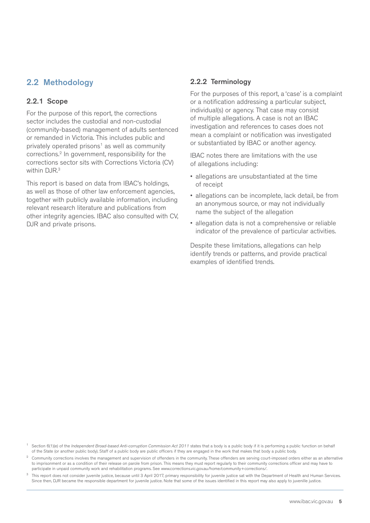# 2.2 Methodology

### 2.2.1 Scope

For the purpose of this report, the corrections sector includes the custodial and non-custodial (community-based) management of adults sentenced or remanded in Victoria. This includes public and privately operated prisons<sup>1</sup> as well as community corrections.2 In government, responsibility for the corrections sector sits with Corrections Victoria (CV) within DJR.<sup>3</sup>

This report is based on data from IBAC's holdings, as well as those of other law enforcement agencies, together with publicly available information, including relevant research literature and publications from other integrity agencies. IBAC also consulted with CV, DJR and private prisons.

#### 2.2.2 Terminology

For the purposes of this report, a 'case' is a complaint or a notification addressing a particular subject, individual(s) or agency. That case may consist of multiple allegations. A case is not an IBAC investigation and references to cases does not mean a complaint or notification was investigated or substantiated by IBAC or another agency.

IBAC notes there are limitations with the use of allegations including:

- allegations are unsubstantiated at the time of receipt
- allegations can be incomplete, lack detail, be from an anonymous source, or may not individually name the subject of the allegation
- allegation data is not a comprehensive or reliable indicator of the prevalence of particular activities.

Despite these limitations, allegations can help identify trends or patterns, and provide practical examples of identified trends.

Section 6(1)(e) of the *Independent Broad-based Anti-corruption Commission Act 2011* states that a body is a public body if it is performing a public function on behalf of the State (or another public body). Staff of a public body are public officers if they are engaged in the work that makes that body a public body.

<sup>2</sup> Community corrections involves the management and supervision of offenders in the community. These offenders are serving court-imposed orders either as an alternative to imprisonment or as a condition of their release on parole from prison. This means they must report regularly to their community corrections officer and may have to participate in unpaid community work and rehabilitation programs. See www.corrections.vic.gov.au/home/community+corrections/.

<sup>3</sup> This report does not consider juvenile justice, because until 3 April 2017, primary responsibility for juvenile justice sat with the Department of Health and Human Services. Since then, DJR became the responsible department for juvenile justice. Note that some of the issues identified in this report may also apply to juvenille justice.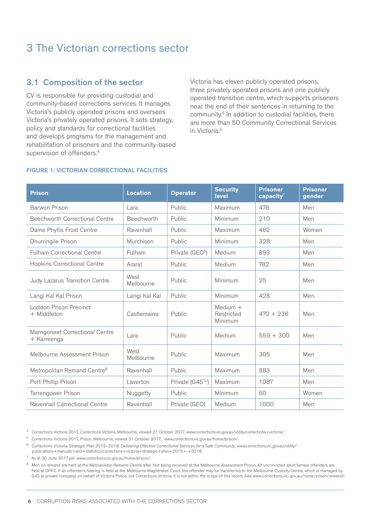# 3 The Victorian corrections sector

# 3.1 Composition of the sector

CV is responsible for providing custodial and community-based corrections services. It manages Victoria's publicly operated prisons and oversees Victoria's privately operated prisons. It sets strategy, policy and standards for correctional facilities and develops programs for the management and rehabilitation of prisoners and the community-based supervision of offenders.<sup>4</sup>

Victoria has eleven publicly operated prisons, three privately operated prisons and one publicly operated transition centre, which supports prisoners near the end of their sentences in returning to the community.<sup>5</sup> In addition to custodial facilities, there are more than 50 Community Correctional Services in Victoria.<sup>6</sup>

#### FIGURE 1: VICTORIAN CORRECTIONAL FACILITIES

| <b>Prison</b>                                 | <b>Location</b>   | <b>Operator</b>              | <b>Security</b><br><b>level</b>     | <b>Prisoner</b><br>capacity $7$ | <b>Prisoner</b><br>gender |
|-----------------------------------------------|-------------------|------------------------------|-------------------------------------|---------------------------------|---------------------------|
| <b>Barwon Prison</b>                          | Lara              | Public                       | Maximum                             | 478                             | Men                       |
| Beechworth Correctional Centre                | Beechworth        | Public                       | Minimum                             | 210                             | Men                       |
| Dame Phyllis Frost Centre                     | Ravenhall         | Public                       | Maximum                             | 482                             | Women                     |
| Dhurringile Prison                            | Murchison         | Public                       | Minimum                             | 328                             | Men                       |
| <b>Fulham Correctional Centre</b>             | Fulham            | Private (GEO <sup>9</sup> )  | Medium                              | 893                             | Men                       |
| <b>Hopkins Correctional Centre</b>            | Ararat            | Public                       | Medium                              | 782                             | Men                       |
| Judy Lazarus Transition Centre                | West<br>Melbourne | Public                       | Minimum                             | 25                              | Men                       |
| Langi Kal Kal Prison                          | Langi Kal Kal     | Public                       | Minimum                             | 428                             | Men                       |
| Loddon Prison Precinct<br>+ Middleton         | Castlemaine       | Public                       | Medium $+$<br>Restricted<br>Minimum | $470 + 236$                     | Men                       |
| Marngoneet Correctional Centre<br>+ Karreenga | Lara              | Public                       | Medium                              | $559 + 300$                     | Men                       |
| Melbourne Assessment Prison                   | West<br>Melbourne | Public                       | Maximum                             | 305                             | Men                       |
| Metropolitan Remand Centre <sup>8</sup>       | Ravenhall         | Public                       | Maximum                             | 883                             | Men                       |
| Port Phillip Prison                           | Laverton          | Private (G4S <sup>10</sup> ) | Maximum                             | 1087                            | Men                       |
| Tarrengower Prison                            | Nuggetty          | Public                       | Minimum                             | 60                              | Women                     |
| Ravenhall Correctional Centre                 | Ravenhall         | Private (GEO)                | Medium                              | 1000                            | Men                       |

4 Corrections Victoria 2017, *Corrections Victoria*, Melbourne, viewed 31 October 2017, www.corrections.vic.gov.au/utility/corrections+victoria/.

5 Corrections Victoria 2017, *Prison*, Melbourne, viewed 31 October 2017, , www.corrections.vic.gov.au/home/prison/.

6 Corrections Victoria, *Strategic Plan 2015–2018: Delivering Effective Correctional Services for a Safe Community*, www.corrections.vic.gov.au/utility/ publications+manuals+and+statistics/corrections+victoria+strategic+plan+2015+-+2018.

 $7$  As at 30 June 2017 per www.corrections.vic.gov.au/home/prison/.

8 Men on remand are held at the Metropolitan Remand Centre after first being received at the Melbourne Assessment Prison. All unconvicted adult female offenders are held at DPFC. If an offender's hearing is held at the Melbourne Magistrates' Court, the offender may be transferred to the Melbourne Custody Centre, which is managed by G4S (a private company) on behalf of Victoria Police, not Corrections Victoria. It is not within the scope of this report. See www.corrections.vic. gov.au/home/prison/remand/.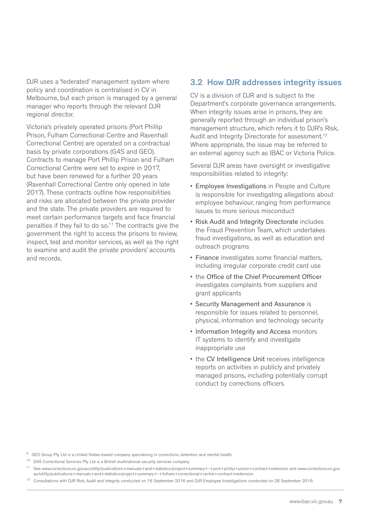DJR uses a 'federated' management system where policy and coordination is centralised in CV in Melbourne, but each prison is managed by a general manager who reports through the relevant DJR regional director.

Victoria's privately operated prisons (Port Phillip Prison, Fulham Correctional Centre and Ravenhall Correctional Centre) are operated on a contractual basis by private corporations (G4S and GEO). Contracts to manage Port Phillip Prison and Fulham Correctional Centre were set to expire in 2017, but have been renewed for a further 20 years (Ravenhall Correctional Centre only opened in late 2017). These contracts outline how responsibilities and risks are allocated between the private provider and the state. The private providers are required to meet certain performance targets and face financial penalties if they fail to do so.<sup>11</sup> The contracts give the government the right to access the prisons to review, inspect, test and monitor services, as well as the right to examine and audit the private providers' accounts and records.

# 3.2 How DJR addresses integrity issues

CV is a division of DJR and is subject to the Department's corporate governance arrangements. When integrity issues arise in prisons, they are generally reported through an individual prison's management structure, which refers it to DJR's Risk, Audit and Integrity Directorate for assessment.<sup>12</sup> Where appropriate, the issue may be referred to an external agency such as IBAC or Victoria Police.

Several DJR areas have oversight or investigative responsibilities related to integrity:

- Employee Investigations in People and Culture is responsible for investigating allegations about employee behaviour, ranging from performance issues to more serious misconduct
- Risk Audit and Integrity Directorate includes the Fraud Prevention Team, which undertakes fraud investigations, as well as education and outreach programs
- Finance investigates some financial matters, including irregular corporate credit card use
- the Office of the Chief Procurement Officer investigates complaints from suppliers and grant applicants
- Security Management and Assurance is responsible for issues related to personnel, physical, information and technology security
- Information Integrity and Access monitors IT systems to identify and investigate inappropriate use
- the CV Intelligence Unit receives intelligence reports on activities in publicly and privately managed prisons, including potentially corrupt conduct by corrections officers

<sup>&</sup>lt;sup>9</sup> GEO Group Pty Ltd is a United States-based company specialising in corrections, detention and mental health.

<sup>10</sup> G4S Correctional Services Pty Ltd is a British multinational security services company.

<sup>11</sup> See www.corrections.vic.gov.au/utility/publications+manuals+and+statistics/project+summary+-+port+phillip+prison+contract+extension and www.corrections.vic.gov. au/utility/publications+manuals+and+statistics/project+summary+-+fulham+correctional+centre+contract+extension.

<sup>12</sup> Consultations with DJR Risk, Audit and Integrity conducted on 16 September 2016 and DJR Employee Investigations conducted on 28 September 2016.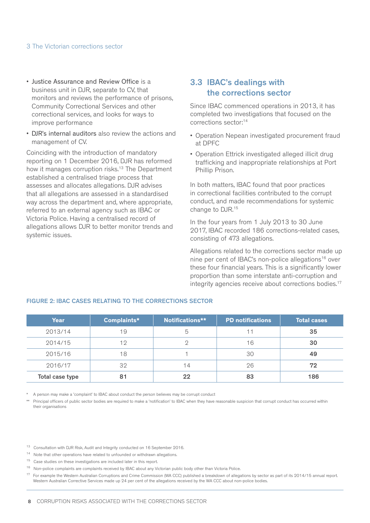#### 3 The Victorian corrections sector

- Justice Assurance and Review Office is a business unit in DJR, separate to CV, that monitors and reviews the performance of prisons, Community Correctional Services and other correctional services, and looks for ways to improve performance
- DJR's internal auditors also review the actions and management of CV.

Coinciding with the introduction of mandatory reporting on 1 December 2016, DJR has reformed how it manages corruption risks.<sup>13</sup> The Department established a centralised triage process that assesses and allocates allegations. DJR advises that all allegations are assessed in a standardised way across the department and, where appropriate, referred to an external agency such as IBAC or Victoria Police. Having a centralised record of allegations allows DJR to better monitor trends and systemic issues.

# 3.3 IBAC's dealings with the corrections sector

Since IBAC commenced operations in 2013, it has completed two investigations that focused on the corrections sector:14

- Operation Nepean investigated procurement fraud at DPFC
- Operation Ettrick investigated alleged illicit drug trafficking and inappropriate relationships at Port Phillip Prison.

In both matters, IBAC found that poor practices in correctional facilities contributed to the corrupt conduct, and made recommendations for systemic change to DJR.15

In the four years from 1 July 2013 to 30 June 2017, IBAC recorded 186 corrections-related cases, consisting of 473 allegations.

Allegations related to the corrections sector made up nine per cent of IBAC's non-police allegations<sup>16</sup> over these four financial years. This is a significantly lower proportion than some interstate anti-corruption and integrity agencies receive about corrections bodies.<sup>17</sup>

| Year            | Complaints* | Notifications** | <b>PD notifications</b> | <b>Total cases</b> |
|-----------------|-------------|-----------------|-------------------------|--------------------|
| 2013/14         | 19          | 5               |                         | 35                 |
| 2014/15         | 12          |                 | 16                      | 30                 |
| 2015/16         | 18          |                 | 30                      | 49                 |
| 2016/17         | 32          | 14              | 26                      | 72                 |
| Total case type | 81          | 22              | 83                      | 186                |

#### FIGURE 2: IBAC CASES RELATING TO THE CORRECTIONS SECTOR

A person may make a 'complaint' to IBAC about conduct the person believes may be corrupt conduct

Principal officers of public sector bodies are required to make a 'notification' to IBAC when they have reasonable suspicion that corrupt conduct has occurred within their organisations

13 Consultation with DJR Risk, Audit and Integrity conducted on 16 September 2016.

14 Note that other operations have related to unfounded or withdrawn allegations.

<sup>15</sup> Case studies on these investigations are included later in this report.

<sup>16</sup> Non-police complaints are complaints received by IBAC about any Victorian public body other than Victoria Police.

<sup>&</sup>lt;sup>17</sup> For example the Western Australian Corruptions and Crime Commission (WA CCC) published a breakdown of allegations by sector as part of its 2014/15 annual report. Western Australian Corrective Services made up 24 per cent of the allegations received by the WA CCC about non-police bodies.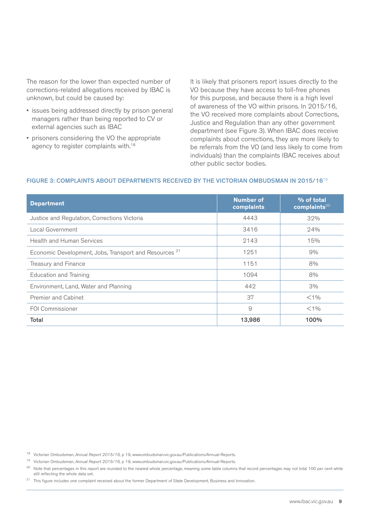The reason for the lower than expected number of corrections-related allegations received by IBAC is unknown, but could be caused by:

- issues being addressed directly by prison general managers rather than being reported to CV or external agencies such as IBAC
- prisoners considering the VO the appropriate agency to register complaints with.18

It is likely that prisoners report issues directly to the VO because they have access to toll-free phones for this purpose, and because there is a high level of awareness of the VO within prisons. In 2015/16, the VO received more complaints about Corrections, Justice and Regulation than any other government department (see Figure 3). When IBAC does receive complaints about corrections, they are more likely to be referrals from the VO (and less likely to come from individuals) than the complaints IBAC receives about other public sector bodies.

### FIGURE 3: COMPLAINTS ABOUT DEPARTMENTS RECEIVED BY THE VICTORIAN OMBUDSMAN IN 2015/16<sup>19</sup>

| <b>Department</b>                                                 | <b>Number of</b><br>complaints | % of total<br>complaints $20$ |
|-------------------------------------------------------------------|--------------------------------|-------------------------------|
| Justice and Regulation, Corrections Victoria                      | 4443                           | 32%                           |
| Local Government                                                  | 3416                           | 24%                           |
| <b>Health and Human Services</b>                                  | 2143                           | 15%                           |
| Economic Development, Jobs, Transport and Resources <sup>21</sup> | 1251                           | 9%                            |
| Treasury and Finance                                              | 1151                           | 8%                            |
| <b>Education and Training</b>                                     | 1094                           | 8%                            |
| Environment, Land, Water and Planning                             | 442                            | 3%                            |
| <b>Premier and Cabinet</b>                                        | 37                             | $<$ 1%                        |
| <b>FOI Commissioner</b>                                           | 9                              | $<$ 1%                        |
| Total                                                             | 13,986                         | 100%                          |

18 Victorian Ombudsman, *Annual Report 2015/16*, p 19, www.ombudsman.vic.gov.au/Publications/Annual-Reports.

19 Victorian Ombudsman, *Annual Report 2015/16*, p 19, www.ombudsman.vic.gov.au/Publications/Annual-Reports.

<sup>20</sup> Note that percentages in this report are rounded to the nearest whole percentage, meaning some table columns that record percentages may not total 100 per cent while still reflecting the whole data set.

<sup>21</sup> This figure includes one complaint received about the former Department of State Development, Business and Innovation.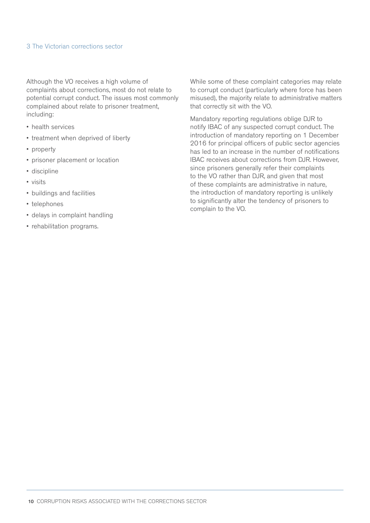#### 3 The Victorian corrections sector

Although the VO receives a high volume of complaints about corrections, most do not relate to potential corrupt conduct. The issues most commonly complained about relate to prisoner treatment, including:

- health services
- treatment when deprived of liberty
- property
- prisoner placement or location
- discipline
- visits
- buildings and facilities
- telephones
- delays in complaint handling
- rehabilitation programs.

While some of these complaint categories may relate to corrupt conduct (particularly where force has been misused), the majority relate to administrative matters that correctly sit with the VO.

Mandatory reporting regulations oblige DJR to notify IBAC of any suspected corrupt conduct. The introduction of mandatory reporting on 1 December 2016 for principal officers of public sector agencies has led to an increase in the number of notifications IBAC receives about corrections from DJR. However, since prisoners generally refer their complaints to the VO rather than DJR, and given that most of these complaints are administrative in nature, the introduction of mandatory reporting is unlikely to significantly alter the tendency of prisoners to complain to the VO.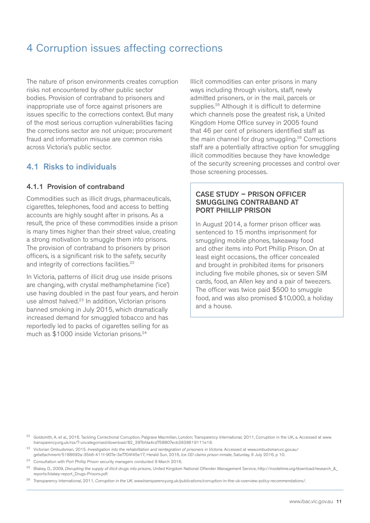# 4 Corruption issues affecting corrections

The nature of prison environments creates corruption risks not encountered by other public sector bodies. Provision of contraband to prisoners and inappropriate use of force against prisoners are issues specific to the corrections context. But many of the most serious corruption vulnerabilities facing the corrections sector are not unique; procurement fraud and information misuse are common risks across Victoria's public sector.

# 4.1 Risks to individuals

### 4.1.1 Provision of contraband

Commodities such as illicit drugs, pharmaceuticals, cigarettes, telephones, food and access to betting accounts are highly sought after in prisons. As a result, the price of these commodities inside a prison is many times higher than their street value, creating a strong motivation to smuggle them into prisons. The provision of contraband to prisoners by prison officers, is a significant risk to the safety, security and integrity of corrections facilities.<sup>22</sup>

In Victoria, patterns of illicit drug use inside prisons are changing, with crystal methamphetamine ('ice') use having doubled in the past four years, and heroin use almost halved.<sup>23</sup> In addition, Victorian prisons banned smoking in July 2015, which dramatically increased demand for smuggled tobacco and has reportedly led to packs of cigarettes selling for as much as \$1000 inside Victorian prisons.<sup>24</sup>

Illicit commodities can enter prisons in many ways including through visitors, staff, newly admitted prisoners, or in the mail, parcels or supplies.<sup>25</sup> Although it is difficult to determine which channels pose the greatest risk, a United Kingdom Home Office survey in 2005 found that 46 per cent of prisoners identified staff as the main channel for drug smuggling.26 Corrections staff are a potentially attractive option for smuggling illicit commodities because they have knowledge of the security screening processes and control over those screening processes.

#### CASE STUDY – PRISON OFFICER SMUGGLING CONTRABAND AT PORT PHILLIP PRISON

In August 2014, a former prison officer was sentenced to 15 months imprisonment for smuggling mobile phones, takeaway food and other items into Port Phillip Prison. On at least eight occasions, the officer concealed and brought in prohibited items for prisoners including five mobile phones, six or seven SIM cards, food, an Allen key and a pair of tweezers. The officer was twice paid \$500 to smuggle food, and was also promised \$10,000, a holiday and a house.

- <sup>23</sup> Victorian Ombudsman, 2015. Investigation into the rehabilitation and reintegration of prisoners in Victoria. Accessed at www.ombudsman.vic.gov.au/ getattachment/5188692a-35b6-411f-907e-3e7704f45e17; Herald Sun, 2016, *Ice OD claims prison inmate*, Saturday, 9 July 2016, p 10.
- 24 Consultation with Port Phillip Prison security managers conducted 9 March 2016.
- 25 Blakey, D., 2009, *Disrupting the supply of illicit drugs into prisons*, United Kingdom National Offender Management Service, http://insidetime.org/download/research\_&\_ reports/blakey-report\_Drugs-Prisons.pdf.

26 Transparency International, 2011, *Corruption in the UK*, www.transparency.org.uk/publications/corruption-in-the-uk-overview-policy-recommendations/.

<sup>&</sup>lt;sup>22</sup> Goldsmith, A. et al., 2016. Tackling Correctional Corruption, Palgrave Macmillan, London; Transparency International, 2011, Corruption in the UK, a. Accessed at www. transparency.org.uk/rss/7-uncategorised/download/82\_397bfda4cd758807ecb3939619111e19.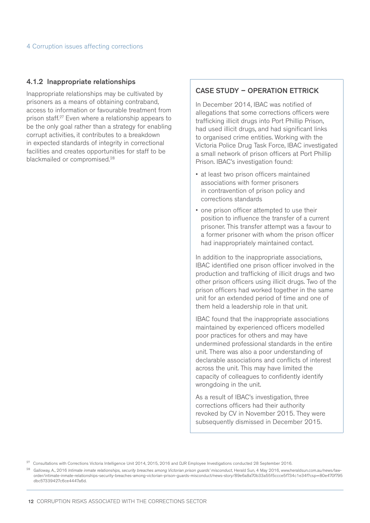#### 4.1.2 Inappropriate relationships

Inappropriate relationships may be cultivated by prisoners as a means of obtaining contraband, access to information or favourable treatment from prison staff.27 Even where a relationship appears to be the only goal rather than a strategy for enabling corrupt activities, it contributes to a breakdown in expected standards of integrity in correctional facilities and creates opportunities for staff to be blackmailed or compromised.<sup>28</sup>

#### CASE STUDY – OPERATION ETTRICK

In December 2014, IBAC was notified of allegations that some corrections officers were trafficking illicit drugs into Port Phillip Prison, had used illicit drugs, and had significant links to organised crime entities. Working with the Victoria Police Drug Task Force, IBAC investigated a small network of prison officers at Port Phillip Prison. IBAC's investigation found:

- at least two prison officers maintained associations with former prisoners in contravention of prison policy and corrections standards
- one prison officer attempted to use their position to influence the transfer of a current prisoner. This transfer attempt was a favour to a former prisoner with whom the prison officer had inappropriately maintained contact.

In addition to the inappropriate associations, IBAC identified one prison officer involved in the production and trafficking of illicit drugs and two other prison officers using illicit drugs. Two of the prison officers had worked together in the same unit for an extended period of time and one of them held a leadership role in that unit.

IBAC found that the inappropriate associations maintained by experienced officers modelled poor practices for others and may have undermined professional standards in the entire unit. There was also a poor understanding of declarable associations and conflicts of interest across the unit. This may have limited the capacity of colleagues to confidently identify wrongdoing in the unit.

As a result of IBAC's investigation, three corrections officers had their authority revoked by CV in November 2015. They were subsequently dismissed in December 2015.

 $27$  Consultations with Corrections Victoria Intelligence Unit 2014, 2015, 2016 and DJR Employee Investigations conducted 28 September 2016.

<sup>28</sup> Galloway, A., 2016 *Intimate inmate relationships, security breaches among Victorian prison guards' misconduct*, Herald Sun, 4 May 2016, www.heraldsun.com.au/news/laworder/intimate-inmate-relationships-security-breaches-among-victorian-prison-guards-misconduct/news-story/89e6a8a70b33a55f5ccce5f734c1e34f?csp=80e470f795 dbc57339427c6ce4447a6d.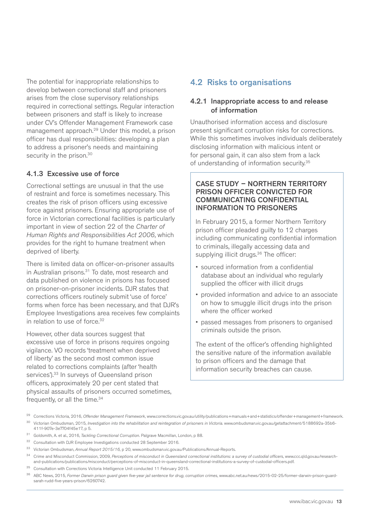The potential for inappropriate relationships to develop between correctional staff and prisoners arises from the close supervisory relationships required in correctional settings. Regular interaction between prisoners and staff is likely to increase under CV's Offender Management Framework case management approach.29 Under this model, a prison officer has dual responsibilities: developing a plan to address a prisoner's needs and maintaining security in the prison.<sup>30</sup>

## 4.1.3 Excessive use of force

Correctional settings are unusual in that the use of restraint and force is sometimes necessary. This creates the risk of prison officers using excessive force against prisoners. Ensuring appropriate use of force in Victorian correctional facilities is particularly important in view of section 22 of the *Charter of Human Rights and Responsibilities Act 2006*, which provides for the right to humane treatment when deprived of liberty.

There is limited data on officer-on-prisoner assaults in Australian prisons.<sup>31</sup> To date, most research and data published on violence in prisons has focused on prisoner-on-prisoner incidents. DJR states that corrections officers routinely submit 'use of force' forms when force has been necessary, and that DJR's Employee Investigations area receives few complaints in relation to use of force.<sup>32</sup>

However, other data sources suggest that excessive use of force in prisons requires ongoing vigilance. VO records 'treatment when deprived of liberty' as the second most common issue related to corrections complaints (after 'health services').<sup>33</sup> In surveys of Queensland prison officers, approximately 20 per cent stated that physical assaults of prisoners occurred sometimes, frequently, or all the time.<sup>34</sup>

# 4.2 Risks to organisations

# 4.2.1 Inappropriate access to and release of information

Unauthorised information access and disclosure present significant corruption risks for corrections. While this sometimes involves individuals deliberately disclosing information with malicious intent or for personal gain, it can also stem from a lack of understanding of information security.35

### CASE STUDY – NORTHERN TERRITORY PRISON OFFICER CONVICTED FOR COMMUNICATING CONFIDENTIAL INFORMATION TO PRISONERS

In February 2015, a former Northern Territory prison officer pleaded guilty to 12 charges including communicating confidential information to criminals, illegally accessing data and supplying illicit drugs.<sup>36</sup> The officer:

- sourced information from a confidential database about an individual who regularly supplied the officer with illicit drugs
- provided information and advice to an associate on how to smuggle illicit drugs into the prison where the officer worked
- passed messages from prisoners to organised criminals outside the prison.

The extent of the officer's offending highlighted the sensitive nature of the information available to prison officers and the damage that information security breaches can cause.

- 31 Goldsmith, A. et al., 2016, *Tackling Correctional Corruption*. Palgrave Macmillan, London, p 88.
- 32 Consultation with DJR Employee Investigations conducted 28 September 2016.
- 33 Victorian Ombudsman, *Annual Report 2015/16*, p 20, www.ombudsman.vic.gov.au/Publications/Annual-Reports.
- 34 Crime and Misconduct Commission, 2009, *Perceptions of misconduct in Queensland correctional institutions: a survey of custodial officers*, www.ccc.qld.gov.au/researchand-publications/publications/misconduct/perceptions-of-misconduct-in-queensland-correctional-institutions-a-survey-of-custodial-officers.pdf.
- <sup>35</sup> Consultation with Corrections Victoria Intelligence Unit conducted 11 February 2015.
- 36 ABC News, 2015, *Former Darwin prison guard given five-year jail sentence for drug, corruption crimes*, www.abc.net.au/news/2015-02-25/former-darwin-prison-guardsarah-rudd-five-years-prison/6260742.

<sup>29</sup> Corrections Victoria, 2016, *Offender Management Framework*, www.corrections.vic.gov.au/utility/publications+manuals+and+statistics/offender+management+framework.

<sup>&</sup>lt;sup>30</sup> Victorian Ombudsman, 2015, *Investigation into the rehabilitation and reintegration of prisoners in Victoria. www.ombudsman.vic.gov.au/getattachment/5188692a-35b6-*411f-907e-3e7704f45e17, p 5.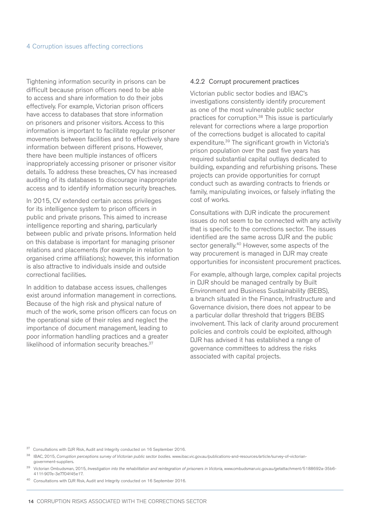Tightening information security in prisons can be difficult because prison officers need to be able to access and share information to do their jobs effectively. For example, Victorian prison officers have access to databases that store information on prisoners and prisoner visitors. Access to this information is important to facilitate regular prisoner movements between facilities and to effectively share information between different prisons. However, there have been multiple instances of officers inappropriately accessing prisoner or prisoner visitor details. To address these breaches, CV has increased auditing of its databases to discourage inappropriate access and to identify information security breaches.

In 2015, CV extended certain access privileges for its intelligence system to prison officers in public and private prisons. This aimed to increase intelligence reporting and sharing, particularly between public and private prisons. Information held on this database is important for managing prisoner relations and placements (for example in relation to organised crime affiliations); however, this information is also attractive to individuals inside and outside correctional facilities.

In addition to database access issues, challenges exist around information management in corrections. Because of the high risk and physical nature of much of the work, some prison officers can focus on the operational side of their roles and neglect the importance of document management, leading to poor information handling practices and a greater likelihood of information security breaches.<sup>37</sup>

#### 4.2.2 Corrupt procurement practices

Victorian public sector bodies and IBAC's investigations consistently identify procurement as one of the most vulnerable public sector practices for corruption.38 This issue is particularly relevant for corrections where a large proportion of the corrections budget is allocated to capital expenditure.39 The significant growth in Victoria's prison population over the past five years has required substantial capital outlays dedicated to building, expanding and refurbishing prisons. These projects can provide opportunities for corrupt conduct such as awarding contracts to friends or family, manipulating invoices, or falsely inflating the cost of works.

Consultations with DJR indicate the procurement issues do not seem to be connected with any activity that is specific to the corrections sector. The issues identified are the same across DJR and the public sector generally.<sup>40</sup> However, some aspects of the way procurement is managed in DJR may create opportunities for inconsistent procurement practices.

For example, although large, complex capital projects in DJR should be managed centrally by Built Environment and Business Sustainability (BEBS), a branch situated in the Finance, Infrastructure and Governance division, there does not appear to be a particular dollar threshold that triggers BEBS involvement. This lack of clarity around procurement policies and controls could be exploited, although DJR has advised it has established a range of governance committees to address the risks associated with capital projects.

<sup>37</sup> Consultations with DJR Risk, Audit and Integrity conducted on 16 September 2016.

38 IBAC, 2015, *Corruption perceptions survey of Victorian public sector bodies*. www.ibac.vic.gov.au/publications-and-resources/article/survey-of-victoriangovernment-suppliers.

<sup>39</sup> Victorian Ombudsman, 2015, Investigation into the rehabilitation and reintegration of prisoners in Victoria, www.ombudsman.vic.gov.au/getattachment/5188692a-35b6-411f-907e-3e7704f45e17.

40 Consultations with DJR Risk, Audit and Integrity conducted on 16 September 2016.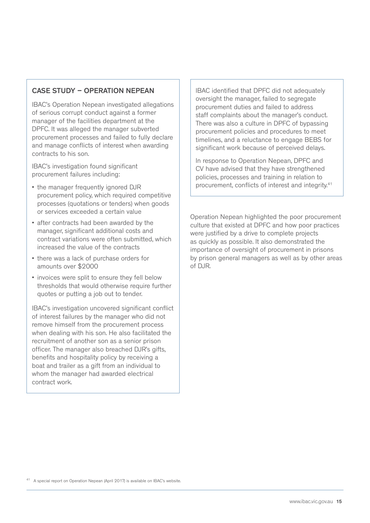# CASE STUDY – OPERATION NEPEAN

IBAC's Operation Nepean investigated allegations of serious corrupt conduct against a former manager of the facilities department at the DPFC. It was alleged the manager subverted procurement processes and failed to fully declare and manage conflicts of interest when awarding contracts to his son.

IBAC's investigation found significant procurement failures including:

- the manager frequently ignored DJR procurement policy, which required competitive processes (quotations or tenders) when goods or services exceeded a certain value
- after contracts had been awarded by the manager, significant additional costs and contract variations were often submitted, which increased the value of the contracts
- there was a lack of purchase orders for amounts over \$2000
- invoices were split to ensure they fell below thresholds that would otherwise require further quotes or putting a job out to tender.

IBAC's investigation uncovered significant conflict of interest failures by the manager who did not remove himself from the procurement process when dealing with his son. He also facilitated the recruitment of another son as a senior prison officer. The manager also breached DJR's gifts, benefits and hospitality policy by receiving a boat and trailer as a gift from an individual to whom the manager had awarded electrical contract work.

IBAC identified that DPFC did not adequately oversight the manager, failed to segregate procurement duties and failed to address staff complaints about the manager's conduct. There was also a culture in DPFC of bypassing procurement policies and procedures to meet timelines, and a reluctance to engage BEBS for significant work because of perceived delays.

In response to Operation Nepean, DPFC and CV have advised that they have strengthened policies, processes and training in relation to procurement, conflicts of interest and integrity.41

Operation Nepean highlighted the poor procurement culture that existed at DPFC and how poor practices were justified by a drive to complete projects as quickly as possible. It also demonstrated the importance of oversight of procurement in prisons by prison general managers as well as by other areas of  $D.HR$ .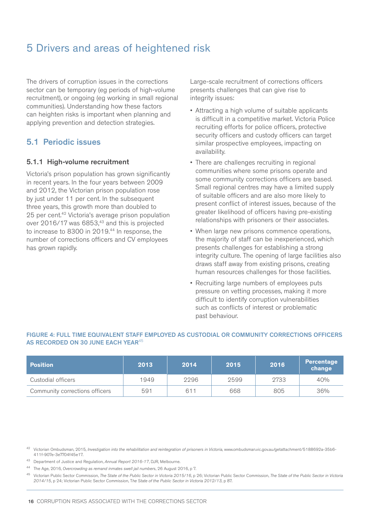# 5 Drivers and areas of heightened risk

The drivers of corruption issues in the corrections sector can be temporary (eg periods of high-volume recruitment), or ongoing (eg working in small regional communities). Understanding how these factors can heighten risks is important when planning and applying prevention and detection strategies.

# 5.1 Periodic issues

#### 5.1.1 High-volume recruitment

Victoria's prison population has grown significantly in recent years. In the four years between 2009 and 2012, the Victorian prison population rose by just under 11 per cent. In the subsequent three years, this growth more than doubled to 25 per cent.<sup>42</sup> Victoria's average prison population over 2016/17 was 6853,<sup>43</sup> and this is projected to increase to 8300 in 2019.44 In response, the number of corrections officers and CV employees has grown rapidly.

Large-scale recruitment of corrections officers presents challenges that can give rise to integrity issues:

- Attracting a high volume of suitable applicants is difficult in a competitive market. Victoria Police recruiting efforts for police officers, protective security officers and custody officers can target similar prospective employees, impacting on availability.
- There are challenges recruiting in regional communities where some prisons operate and some community corrections officers are based. Small regional centres may have a limited supply of suitable officers and are also more likely to present conflict of interest issues, because of the greater likelihood of officers having pre-existing relationships with prisoners or their associates.
- When large new prisons commence operations, the majority of staff can be inexperienced, which presents challenges for establishing a strong integrity culture. The opening of large facilities also draws staff away from existing prisons, creating human resources challenges for those facilities.
- Recruiting large numbers of employees puts pressure on vetting processes, making it more difficult to identify corruption vulnerabilities such as conflicts of interest or problematic past behaviour.

| <b>Position</b>                | 2013 | 2014 | 2015 | 2016 | Percentage<br>change |
|--------------------------------|------|------|------|------|----------------------|
| Custodial officers             | 1949 | 2296 | 2599 | 2733 | 40%                  |
| Community corrections officers | 591  | 611  | 668  | 805  | 36%                  |

#### FIGURE 4: FULL TIME EQUIVALENT STAFF EMPLOYED AS CUSTODIAL OR COMMUNITY CORRECTIONS OFFICERS AS RECORDED ON 30 JUNE EACH YEAR<sup>45</sup>

<sup>42</sup> Victorian Ombudsman, 2015, *Investigation into the rehabilitation and reintegration of prisoners in Victoria*, www.ombudsman.vic.gov.au/getattachment/5188692a-35b6-411f-907e-3e7704f45e17.

43 Department of Justice and Regulation, *Annual Report 2016-17*, DJR, Melbourne.

44 The Age, 2016, *Overcrowding as remand inmates swell jail numbers*, 26 August 2016, p 7.

45 Victorian Public Sector Commission, *The State of the Public Sector in Victoria 2015/16*, p 26; Victorian Public Sector Commission, *The State of the Public Sector in Victoria 2014/15*, p 24; Victorian Public Sector Commission, T*he State of the Public Sector in Victoria 2012/13*, p 87.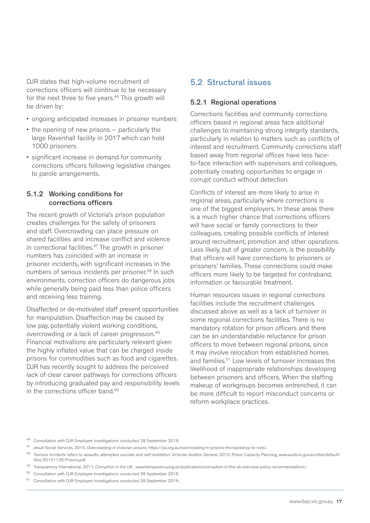DJR states that high-volume recruitment of corrections officers will continue to be necessary for the next three to five years.<sup>46</sup> This growth will be driven by:

- ongoing anticipated increases in prisoner numbers
- the opening of new prisons particularly the large Ravenhall facility in 2017 which can hold 1000 prisoners
- significant increase in demand for community corrections officers following legislative changes to parole arrangements.

### 5.1.2 Working conditions for corrections officers

The recent growth of Victoria's prison population creates challenges for the safety of prisoners and staff. Overcrowding can place pressure on shared facilities and increase conflict and violence in correctional facilities.<sup>47</sup> The growth in prisoner numbers has coincided with an increase in prisoner incidents, with significant increases in the numbers of serious incidents per prisoner.<sup>48</sup> In such environments, correction officers do dangerous jobs while generally being paid less than police officers and receiving less training.

Disaffected or de-motivated staff present opportunities for manipulation. Disaffection may be caused by low pay, potentially violent working conditions, overcrowding or a lack of career progression.49 Financial motivations are particularly relevant given the highly inflated value that can be charged inside prisons for commodities such as food and cigarettes. DJR has recently sought to address the perceived lack of clear career pathways for corrections officers by introducing graduated pay and responsibility levels in the corrections officer band.50

# 5.2 Structural issues

## 5.2.1 Regional operations

Corrections facilities and community corrections officers based in regional areas face additional challenges to maintaining strong integrity standards, particularly in relation to matters such as conflicts of interest and recruitment. Community corrections staff based away from regional offices have less faceto-face interaction with supervisors and colleagues, potentially creating opportunities to engage in corrupt conduct without detection.

Conflicts of interest are more likely to arise in regional areas, particularly where corrections is one of the biggest employers. In these areas there is a much higher chance that corrections officers will have social or family connections to their colleagues, creating possible conflicts of interest around recruitment, promotion and other operations. Less likely, but of greater concern, is the possibility that officers will have connections to prisoners or prisoners' families. These connections could make officers more likely to be targeted for contraband, information or favourable treatment.

Human resources issues in regional corrections facilities include the recruitment challenges discussed above as well as a lack of turnover in some regional corrections facilities. There is no mandatory rotation for prison officers and there can be an understandable reluctance for prison officers to move between regional prisons, since it may involve relocation from established homes and families.<sup>51</sup> Low levels of turnover increases the likelihood of inappropriate relationships developing between prisoners and officers. When the staffing makeup of workgroups becomes entrenched, it can be more difficult to report misconduct concerns or reform workplace practices.

46 Consultation with DJR Employee Investigations conducted 28 September 2016.

- 49 Transparency International, 2011, *Corruption in the UK*, www.transparency.org.uk/publications/corruption-in-the-uk-overview-policy-recommendations/.
- 50 Consultation with DJR Employee Investigations conducted 28 September 2016.
- 51 Consultation with DJR Employee Investigations conducted 28 September 2016.

<sup>47</sup> Jesuit Social Services, 2015, *Overcrowding in Victorian prisons*, https://jss.org.au/overcrowding-in-prisons-the-backdrop-to-riots/.

<sup>48 &#</sup>x27;Serious incidents' refers to assaults, attempted suicides and self-mutilation. Victorian Auditor-General, 2012, Prison Capacity Planning, www.audit.vic.gov.au/sites/default/ files/20121128-Prisons.pdf.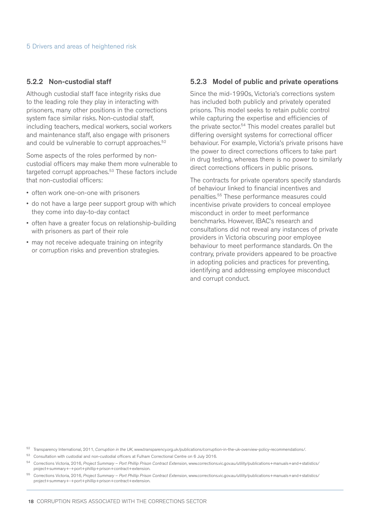#### 5.2.2 Non-custodial staff

Although custodial staff face integrity risks due to the leading role they play in interacting with prisoners, many other positions in the corrections system face similar risks. Non-custodial staff, including teachers, medical workers, social workers and maintenance staff, also engage with prisoners and could be vulnerable to corrupt approaches.<sup>52</sup>

Some aspects of the roles performed by noncustodial officers may make them more vulnerable to targeted corrupt approaches.<sup>53</sup> These factors include that non-custodial officers:

- often work one-on-one with prisoners
- do not have a large peer support group with which they come into day-to-day contact
- often have a greater focus on relationship-building with prisoners as part of their role
- may not receive adequate training on integrity or corruption risks and prevention strategies.

#### 5.2.3 Model of public and private operations

Since the mid-1990s, Victoria's corrections system has included both publicly and privately operated prisons. This model seeks to retain public control while capturing the expertise and efficiencies of the private sector.54 This model creates parallel but differing oversight systems for correctional officer behaviour. For example, Victoria's private prisons have the power to direct corrections officers to take part in drug testing, whereas there is no power to similarly direct corrections officers in public prisons.

The contracts for private operators specify standards of behaviour linked to financial incentives and penalties.55 These performance measures could incentivise private providers to conceal employee misconduct in order to meet performance benchmarks. However, IBAC's research and consultations did not reveal any instances of private providers in Victoria obscuring poor employee behaviour to meet performance standards. On the contrary, private providers appeared to be proactive in adopting policies and practices for preventing, identifying and addressing employee misconduct and corrupt conduct.

52 Transparency International, 2011, *Corruption in the UK*, www.transparency.org.uk/publications/corruption-in-the-uk-overview-policy-recommendations/.

53 Consultation with custodial and non-custodial officers at Fulham Correctional Centre on 6 July 2016.

<sup>54</sup> Corrections Victoria, 2016, *Project Summary – Port Phillip Prison Contract Extension*, www.corrections.vic.gov.au/utility/publications+manuals+and+statistics/ project+summary+-+port+phillip+prison+contract+extension.

<sup>55</sup> Corrections Victoria, 2016, *Project Summary – Port Phillip Prison Contract Extension*, www.corrections.vic.gov.au/utility/publications+manuals+and+statistics/ project+summary+-+port+phillip+prison+contract+extension.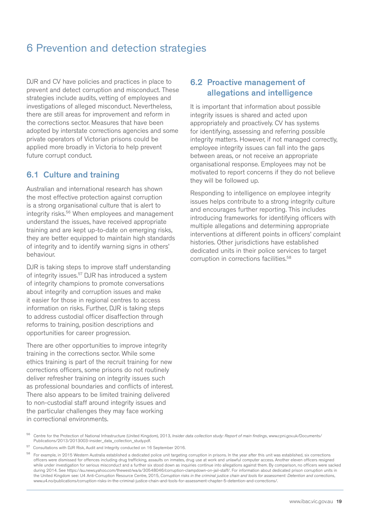# 6 Prevention and detection strategies

DJR and CV have policies and practices in place to prevent and detect corruption and misconduct. These strategies include audits, vetting of employees and investigations of alleged misconduct. Nevertheless, there are still areas for improvement and reform in the corrections sector. Measures that have been adopted by interstate corrections agencies and some private operators of Victorian prisons could be applied more broadly in Victoria to help prevent future corrupt conduct.

# 6.1 Culture and training

Australian and international research has shown the most effective protection against corruption is a strong organisational culture that is alert to integrity risks.56 When employees and management understand the issues, have received appropriate training and are kept up-to-date on emerging risks, they are better equipped to maintain high standards of integrity and to identify warning signs in others' behaviour.

DJR is taking steps to improve staff understanding of integrity issues.<sup>57</sup> DJR has introduced a system of integrity champions to promote conversations about integrity and corruption issues and make it easier for those in regional centres to access information on risks. Further, DJR is taking steps to address custodial officer disaffection through reforms to training, position descriptions and opportunities for career progression.

There are other opportunities to improve integrity training in the corrections sector. While some ethics training is part of the recruit training for new corrections officers, some prisons do not routinely deliver refresher training on integrity issues such as professional boundaries and conflicts of interest. There also appears to be limited training delivered to non-custodial staff around integrity issues and the particular challenges they may face working in correctional environments.

# 6.2 Proactive management of allegations and intelligence

It is important that information about possible integrity issues is shared and acted upon appropriately and proactively. CV has systems for identifying, assessing and referring possible integrity matters. However, if not managed correctly, employee integrity issues can fall into the gaps between areas, or not receive an appropriate organisational response. Employees may not be motivated to report concerns if they do not believe they will be followed up.

Responding to intelligence on employee integrity issues helps contribute to a strong integrity culture and encourages further reporting. This includes introducing frameworks for identifying officers with multiple allegations and determining appropriate interventions at different points in officers' complaint histories. Other jurisdictions have established dedicated units in their police services to target corruption in corrections facilities.58

<sup>56</sup> Centre for the Protection of National Infrastructure (United Kingdom), 2013, *Insider data collection study: Report of main findings*, www.cpni.gov.uk/Documents/ Publications/2013/2013003-insider\_data\_collection\_study.pdf.

<sup>57</sup> Consultations with DJR Risk, Audit and Integrity conducted on 16 September 2016.

<sup>58</sup> For example, in 2015 Western Australia established a dedicated police unit targeting corruption in prisons. In the year after this unit was established, six corrections officers were dismissed for offences including drug trafficking, assaults on inmates, drug use at work and unlawful computer access. Another eleven officers resigned while under investigation for serious misconduct and a further six stood down as inquiries continue into allegations against them. By comparison, no officers were sacked during 2014. See https://au.news.yahoo.com/thewest/wa/a/30548046/corruption-clampdown-on-jail-staff/. For information about dedicated prison corruption units in the United Kingdom see: U4 Anti-Corruption Resource Centre, 2015, *Corruption risks in the criminal justice chain and tools for assessment: Detention and corrections*, www.u4.no/publications/corruption-risks-in-the-criminal-justice-chain-and-tools-for-assessment-chapter-5-detention-and-corrections/.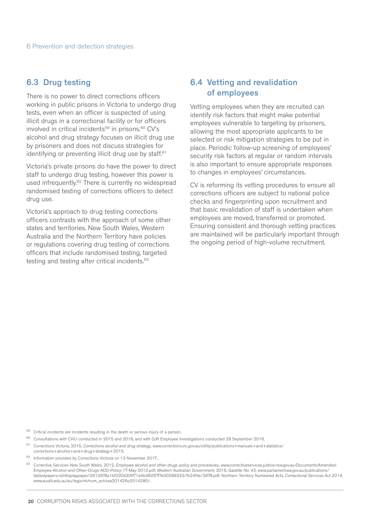## 6.3 Drug testing

There is no power to direct corrections officers working in public prisons in Victoria to undergo drug tests, even when an officer is suspected of using illicit drugs in a correctional facility or for officers involved in critical incidents<sup>59</sup> in prisons.<sup>60</sup> CV's alcohol and drug strategy focuses on illicit drug use by prisoners and does not discuss strategies for identifying or preventing illicit drug use by staff.<sup>61</sup>

Victoria's private prisons do have the power to direct staff to undergo drug testing, however this power is used infrequently.62 There is currently no widespread randomised testing of corrections officers to detect drug use.

Victoria's approach to drug testing corrections officers contrasts with the approach of some other states and territories. New South Wales, Western Australia and the Northern Territory have policies or regulations covering drug testing of corrections officers that include randomised testing, targeted testing and testing after critical incidents.<sup>63</sup>

# 6.4 Vetting and revalidation of employees

Vetting employees when they are recruited can identify risk factors that might make potential employees vulnerable to targeting by prisoners, allowing the most appropriate applicants to be selected or risk mitigation strategies to be put in place. Periodic follow-up screening of employees' security risk factors at regular or random intervals is also important to ensure appropriate responses to changes in employees' circumstances.

CV is reforming its vetting procedures to ensure all corrections officers are subject to national police checks and fingerprinting upon recruitment and that basic revalidation of staff is undertaken when employees are moved, transferred or promoted. Ensuring consistent and thorough vetting practices are maintained will be particularly important through the ongoing period of high-volume recruitment.

59 Critical incidents are incidents resulting in the death or serious injury of a person.

<sup>60</sup> Consultations with CVIU conducted in 2015 and 2016, and with DJR Employee Investigations conducted 28 September 2016.

<sup>61</sup> Corrections Victoria, 2015, *Corrections alcohol and drug strategy*, www.corrections.vic.gov.au/utility/publications+manuals+and+statistics/ corrections+alcohol+and+drug+strategy+2015.

 $62$  Information provided by Corrections Victoria on 13 November 2017.

<sup>&</sup>lt;sup>63</sup> Corrective Services New South Wales, 2012, *Employee alcohol and other drugs policy and procedures*, www.correctiveservices.justice.nsw.gov.au/Documents/Amended-Employee-Alcohol-and-Other-Drugs-AOD-Policy-17-May-2012.pdf; Western Australian Government, 2016, *Gazette No. 43*, www.parliament.wa.gov.au/publications/ tabledpapers.nsf/displaypaper/3913978a1bf220d30ff71e4b48257f7e00289333/%24file/3978.pdf; Northern Territory Numbered Acts, *Correctional Services Act 2014*, www.austlii.edu.au/au/legis/nt/num\_act/csa201426o2014280/.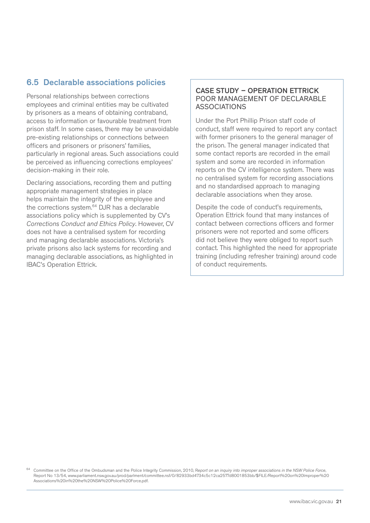# 6.5 Declarable associations policies

Personal relationships between corrections employees and criminal entities may be cultivated by prisoners as a means of obtaining contraband, access to information or favourable treatment from prison staff. In some cases, there may be unavoidable pre-existing relationships or connections between officers and prisoners or prisoners' families, particularly in regional areas. Such associations could be perceived as influencing corrections employees' decision-making in their role.

Declaring associations, recording them and putting appropriate management strategies in place helps maintain the integrity of the employee and the corrections system.64 DJR has a declarable associations policy which is supplemented by CV's *Corrections Conduct and Ethics Policy*. However, CV does not have a centralised system for recording and managing declarable associations. Victoria's private prisons also lack systems for recording and managing declarable associations, as highlighted in IBAC's Operation Ettrick.

### CASE STUDY – OPERATION ETTRICK POOR MANAGEMENT OF DECLARABLE ASSOCIATIONS

Under the Port Phillip Prison staff code of conduct, staff were required to report any contact with former prisoners to the general manager of the prison. The general manager indicated that some contact reports are recorded in the email system and some are recorded in information reports on the CV intelligence system. There was no centralised system for recording associations and no standardised approach to managing declarable associations when they arose.

Despite the code of conduct's requirements, Operation Ettrick found that many instances of contact between corrections officers and former prisoners were not reported and some officers did not believe they were obliged to report such contact. This highlighted the need for appropriate training (including refresher training) around code of conduct requirements.

64 Committee on the Office of the Ombudsman and the Police Integrity Commission, 2010, R*eport on an inquiry into improper associations in the NSW Police Force*, Report No 13/54, www.parliament.nsw.gov.au/prod/parlment/committee.nsf/0/82933bd4734c5c12ca2577d8001853bb/\$FILE/Report%20on%20Improper%20 Associations%20in%20the%20NSW%20Police%20Force.pdf.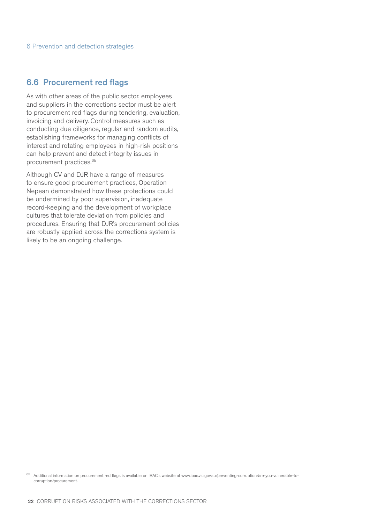## 6.6 Procurement red flags

As with other areas of the public sector, employees and suppliers in the corrections sector must be alert to procurement red flags during tendering, evaluation, invoicing and delivery. Control measures such as conducting due diligence, regular and random audits, establishing frameworks for managing conflicts of interest and rotating employees in high-risk positions can help prevent and detect integrity issues in procurement practices.65

Although CV and DJR have a range of measures to ensure good procurement practices, Operation Nepean demonstrated how these protections could be undermined by poor supervision, inadequate record-keeping and the development of workplace cultures that tolerate deviation from policies and procedures. Ensuring that DJR's procurement policies are robustly applied across the corrections system is likely to be an ongoing challenge.

<sup>&</sup>lt;sup>65</sup> Additional information on procurement red flags is available on IBAC's website at www.ibac.vic.gov.au/preventing-corruption/are-you-vulnerable-tocorruption/procurement.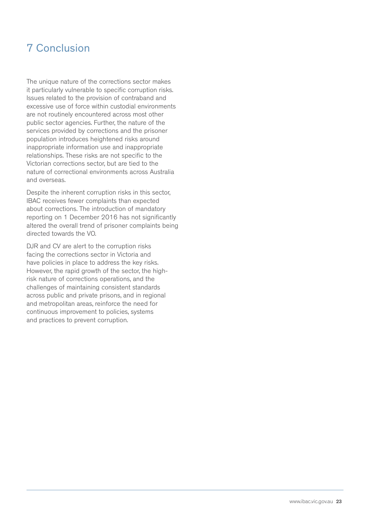# 7 Conclusion

The unique nature of the corrections sector makes it particularly vulnerable to specific corruption risks. Issues related to the provision of contraband and excessive use of force within custodial environments are not routinely encountered across most other public sector agencies. Further, the nature of the services provided by corrections and the prisoner population introduces heightened risks around inappropriate information use and inappropriate relationships. These risks are not specific to the Victorian corrections sector, but are tied to the nature of correctional environments across Australia and overseas.

Despite the inherent corruption risks in this sector, IBAC receives fewer complaints than expected about corrections. The introduction of mandatory reporting on 1 December 2016 has not significantly altered the overall trend of prisoner complaints being directed towards the VO.

DJR and CV are alert to the corruption risks facing the corrections sector in Victoria and have policies in place to address the key risks. However, the rapid growth of the sector, the highrisk nature of corrections operations, and the challenges of maintaining consistent standards across public and private prisons, and in regional and metropolitan areas, reinforce the need for continuous improvement to policies, systems and practices to prevent corruption.